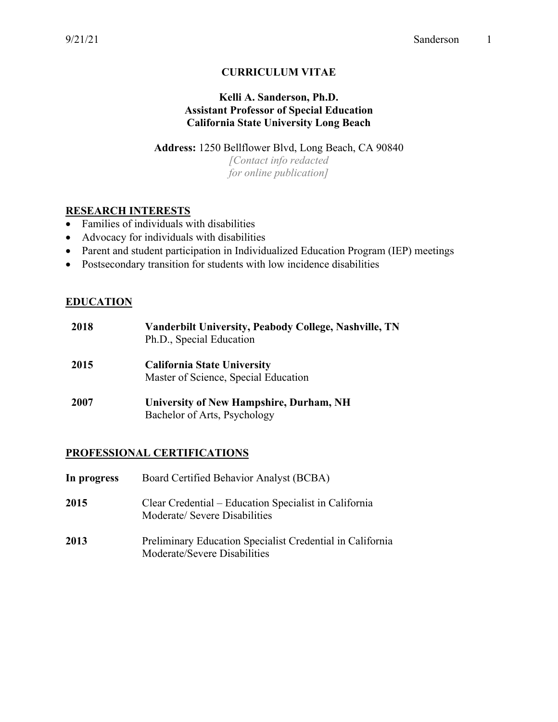## **CURRICULUM VITAE**

## **Kelli A. Sanderson, Ph.D. Assistant Professor of Special Education California State University Long Beach**

**Address:** 1250 Bellflower Blvd, Long Beach, CA 90840

*[Contact info redacted for online publication]*

## **RESEARCH INTERESTS**

- Families of individuals with disabilities
- Advocacy for individuals with disabilities
- Parent and student participation in Individualized Education Program (IEP) meetings
- Postsecondary transition for students with low incidence disabilities

## **EDUCATION**

| 2018 | Vanderbilt University, Peabody College, Nashville, TN<br>Ph.D., Special Education |
|------|-----------------------------------------------------------------------------------|
| 2015 | <b>California State University</b><br>Master of Science, Special Education        |
| 2007 | <b>University of New Hampshire, Durham, NH</b><br>Bachelor of Arts, Psychology    |

#### **PROFESSIONAL CERTIFICATIONS**

| In progress | Board Certified Behavior Analyst (BCBA)                                                   |
|-------------|-------------------------------------------------------------------------------------------|
| 2015        | Clear Credential – Education Specialist in California<br>Moderate/Severe Disabilities     |
| 2013        | Preliminary Education Specialist Credential in California<br>Moderate/Severe Disabilities |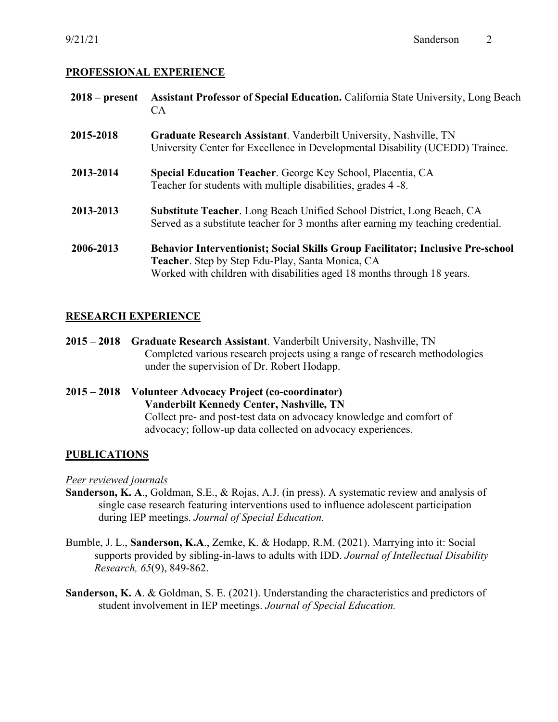# **PROFESSIONAL EXPERIENCE**

| $2018$ – present | Assistant Professor of Special Education. California State University, Long Beach<br>CA                                                                                                                                      |
|------------------|------------------------------------------------------------------------------------------------------------------------------------------------------------------------------------------------------------------------------|
| 2015-2018        | Graduate Research Assistant. Vanderbilt University, Nashville, TN<br>University Center for Excellence in Developmental Disability (UCEDD) Trainee.                                                                           |
| 2013-2014        | Special Education Teacher. George Key School, Placentia, CA<br>Teacher for students with multiple disabilities, grades 4-8.                                                                                                  |
| 2013-2013        | <b>Substitute Teacher.</b> Long Beach Unified School District, Long Beach, CA<br>Served as a substitute teacher for 3 months after earning my teaching credential.                                                           |
| 2006-2013        | <b>Behavior Interventionist; Social Skills Group Facilitator; Inclusive Pre-school</b><br><b>Teacher.</b> Step by Step Edu-Play, Santa Monica, CA<br>Worked with children with disabilities aged 18 months through 18 years. |

# **RESEARCH EXPERIENCE**

- **2015 2018 Graduate Research Assistant**. Vanderbilt University, Nashville, TN Completed various research projects using a range of research methodologies under the supervision of Dr. Robert Hodapp.
- **2015 2018 Volunteer Advocacy Project (co-coordinator) Vanderbilt Kennedy Center, Nashville, TN** Collect pre- and post-test data on advocacy knowledge and comfort of advocacy; follow-up data collected on advocacy experiences.

## **PUBLICATIONS**

*Peer reviewed journals*

- **Sanderson, K. A**., Goldman, S.E., & Rojas, A.J. (in press). A systematic review and analysis of single case research featuring interventions used to influence adolescent participation during IEP meetings. *Journal of Special Education.*
- Bumble, J. L., **Sanderson, K.A**., Zemke, K. & Hodapp, R.M. (2021). Marrying into it: Social supports provided by sibling-in-laws to adults with IDD. *Journal of Intellectual Disability Research, 65*(9), 849-862.
- **Sanderson, K. A**. & Goldman, S. E. (2021). Understanding the characteristics and predictors of student involvement in IEP meetings. *Journal of Special Education.*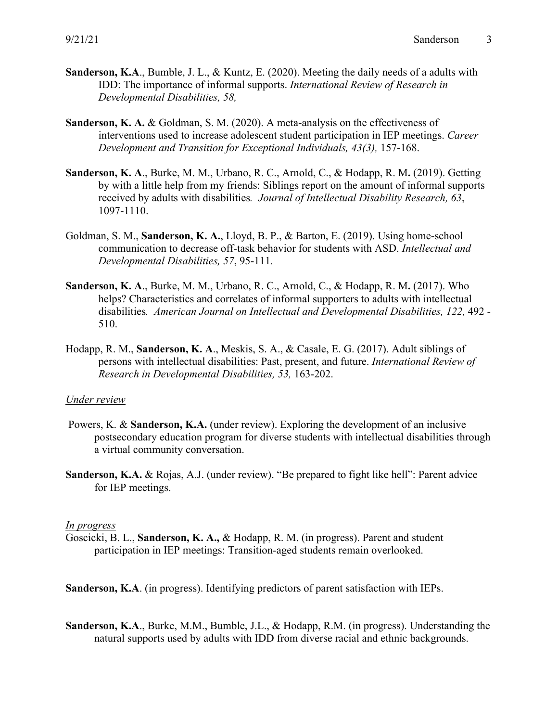- **Sanderson, K.A**., Bumble, J. L., & Kuntz, E. (2020). Meeting the daily needs of a adults with IDD: The importance of informal supports. *International Review of Research in Developmental Disabilities, 58,*
- **Sanderson, K. A.** & Goldman, S. M. (2020). A meta-analysis on the effectiveness of interventions used to increase adolescent student participation in IEP meetings. *Career Development and Transition for Exceptional Individuals, 43(3),* 157-168.
- **Sanderson, K. A**., Burke, M. M., Urbano, R. C., Arnold, C., & Hodapp, R. M**.** (2019). Getting by with a little help from my friends: Siblings report on the amount of informal supports received by adults with disabilities*. Journal of Intellectual Disability Research, 63*, 1097-1110.
- Goldman, S. M., **Sanderson, K. A.**, Lloyd, B. P., & Barton, E. (2019). Using home-school communication to decrease off-task behavior for students with ASD. *Intellectual and Developmental Disabilities, 57*, 95-111*.*
- **Sanderson, K. A**., Burke, M. M., Urbano, R. C., Arnold, C., & Hodapp, R. M**.** (2017). Who helps? Characteristics and correlates of informal supporters to adults with intellectual disabilities*. American Journal on Intellectual and Developmental Disabilities, 122,* 492 - 510.
- Hodapp, R. M., **Sanderson, K. A**., Meskis, S. A., & Casale, E. G. (2017). Adult siblings of persons with intellectual disabilities: Past, present, and future. *International Review of Research in Developmental Disabilities, 53,* 163-202.

#### *Under review*

- Powers, K. & **Sanderson, K.A.** (under review). Exploring the development of an inclusive postsecondary education program for diverse students with intellectual disabilities through a virtual community conversation.
- **Sanderson, K.A.** & Rojas, A.J. (under review). "Be prepared to fight like hell": Parent advice for IEP meetings.

#### *In progress*

Goscicki, B. L., **Sanderson, K. A.,** & Hodapp, R. M. (in progress). Parent and student participation in IEP meetings: Transition-aged students remain overlooked.

**Sanderson, K.A**. (in progress). Identifying predictors of parent satisfaction with IEPs.

**Sanderson, K.A**., Burke, M.M., Bumble, J.L., & Hodapp, R.M. (in progress). Understanding the natural supports used by adults with IDD from diverse racial and ethnic backgrounds.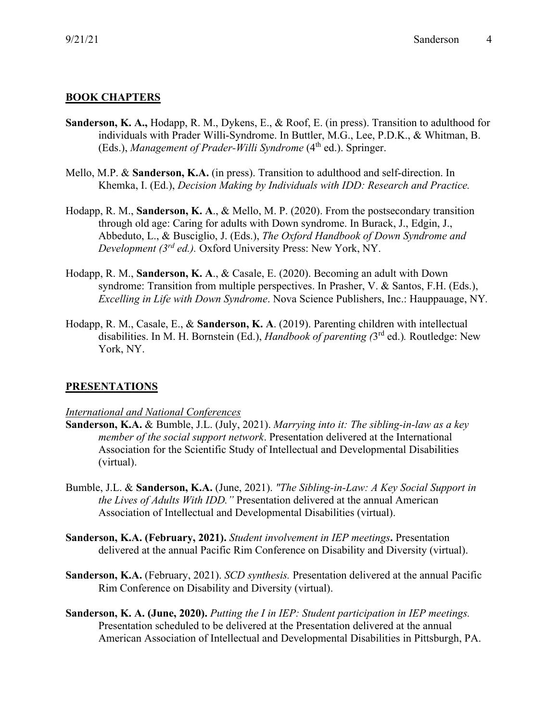#### **BOOK CHAPTERS**

- **Sanderson, K. A.,** Hodapp, R. M., Dykens, E., & Roof, E. (in press). Transition to adulthood for individuals with Prader Willi-Syndrome. In Buttler, M.G., Lee, P.D.K., & Whitman, B. (Eds.), *Management of Prader-Willi Syndrome* (4<sup>th</sup> ed.). Springer.
- Mello, M.P. & **Sanderson, K.A.** (in press). Transition to adulthood and self-direction. In Khemka, I. (Ed.), *Decision Making by Individuals with IDD: Research and Practice.*
- Hodapp, R. M., **Sanderson, K. A**., & Mello, M. P. (2020). From the postsecondary transition through old age: Caring for adults with Down syndrome. In Burack, J., Edgin, J., Abbeduto, L., & Busciglio, J. (Eds.), *The Oxford Handbook of Down Syndrome and Development (3rd ed.).* Oxford University Press: New York, NY.
- Hodapp, R. M., **Sanderson, K. A**., & Casale, E. (2020). Becoming an adult with Down syndrome: Transition from multiple perspectives. In Prasher, V. & Santos, F.H. (Eds.), *Excelling in Life with Down Syndrome*. Nova Science Publishers, Inc.: Hauppauage, NY*.*
- Hodapp, R. M., Casale, E., & **Sanderson, K. A**. (2019). Parenting children with intellectual disabilities. In M. H. Bornstein (Ed.), *Handbook of parenting (*3rd ed.)*.* Routledge: New York, NY.

#### **PRESENTATIONS**

#### *International and National Conferences*

- **Sanderson, K.A.** & Bumble, J.L. (July, 2021). *Marrying into it: The sibling-in-law as a key member of the social support network*. Presentation delivered at the International Association for the Scientific Study of Intellectual and Developmental Disabilities (virtual).
- Bumble, J.L. & **Sanderson, K.A.** (June, 2021). *"The Sibling-in-Law: A Key Social Support in the Lives of Adults With IDD."* Presentation delivered at the annual American Association of Intellectual and Developmental Disabilities (virtual).
- **Sanderson, K.A. (February, 2021).** *Student involvement in IEP meetings***.** Presentation delivered at the annual Pacific Rim Conference on Disability and Diversity (virtual).
- **Sanderson, K.A.** (February, 2021). *SCD synthesis.* Presentation delivered at the annual Pacific Rim Conference on Disability and Diversity (virtual).
- **Sanderson, K. A. (June, 2020).** *Putting the I in IEP: Student participation in IEP meetings.*  Presentation scheduled to be delivered at the Presentation delivered at the annual American Association of Intellectual and Developmental Disabilities in Pittsburgh, PA.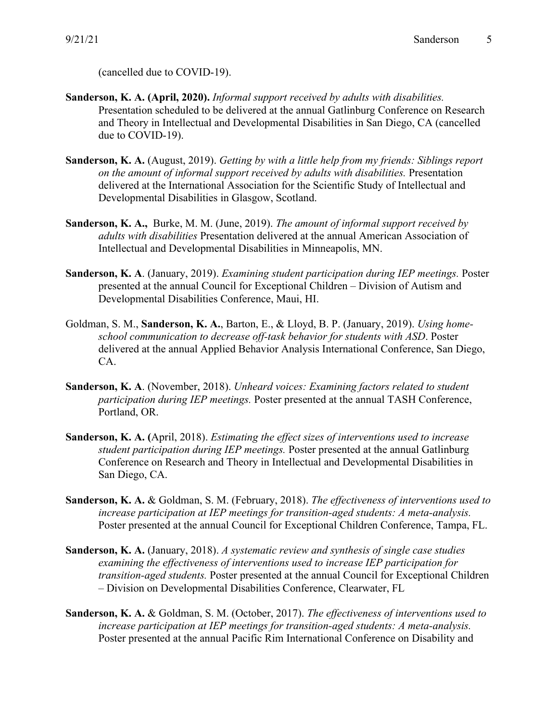(cancelled due to COVID-19).

- **Sanderson, K. A. (April, 2020).** *Informal support received by adults with disabilities.*  Presentation scheduled to be delivered at the annual Gatlinburg Conference on Research and Theory in Intellectual and Developmental Disabilities in San Diego, CA (cancelled due to COVID-19).
- **Sanderson, K. A.** (August, 2019). *Getting by with a little help from my friends: Siblings report on the amount of informal support received by adults with disabilities.* Presentation delivered at the International Association for the Scientific Study of Intellectual and Developmental Disabilities in Glasgow, Scotland.
- **Sanderson, K. A.,** Burke, M. M. (June, 2019). *The amount of informal support received by adults with disabilities* Presentation delivered at the annual American Association of Intellectual and Developmental Disabilities in Minneapolis, MN.
- **Sanderson, K. A**. (January, 2019). *Examining student participation during IEP meetings.* Poster presented at the annual Council for Exceptional Children – Division of Autism and Developmental Disabilities Conference, Maui, HI.
- Goldman, S. M., **Sanderson, K. A.**, Barton, E., & Lloyd, B. P. (January, 2019). *Using homeschool communication to decrease off-task behavior for students with ASD*. Poster delivered at the annual Applied Behavior Analysis International Conference, San Diego, CA.
- **Sanderson, K. A**. (November, 2018). *Unheard voices: Examining factors related to student participation during IEP meetings.* Poster presented at the annual TASH Conference, Portland, OR.
- **Sanderson, K. A. (**April, 2018). *Estimating the effect sizes of interventions used to increase student participation during IEP meetings.* Poster presented at the annual Gatlinburg Conference on Research and Theory in Intellectual and Developmental Disabilities in San Diego, CA.
- **Sanderson, K. A.** & Goldman, S. M. (February, 2018). *The effectiveness of interventions used to increase participation at IEP meetings for transition-aged students: A meta-analysis.*  Poster presented at the annual Council for Exceptional Children Conference, Tampa, FL.
- **Sanderson, K. A.** (January, 2018). *A systematic review and synthesis of single case studies examining the effectiveness of interventions used to increase IEP participation for transition-aged students.* Poster presented at the annual Council for Exceptional Children – Division on Developmental Disabilities Conference, Clearwater, FL
- **Sanderson, K. A.** & Goldman, S. M. (October, 2017). *The effectiveness of interventions used to increase participation at IEP meetings for transition-aged students: A meta-analysis.* Poster presented at the annual Pacific Rim International Conference on Disability and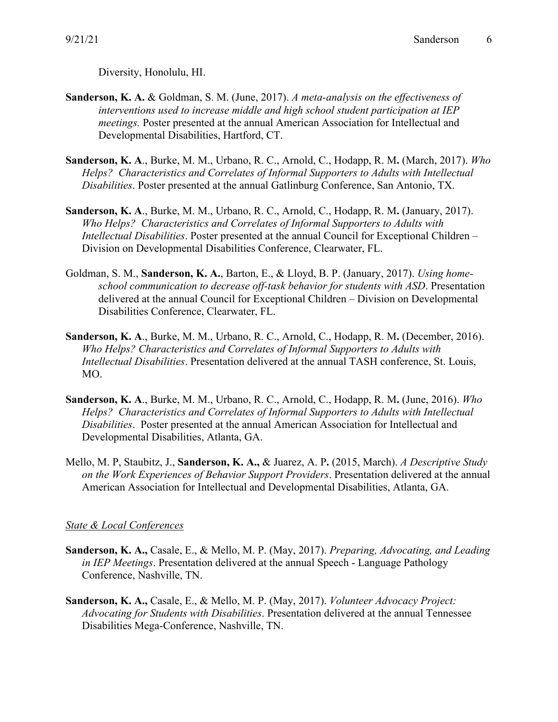Diversity, Honolulu, HI.

- **Sanderson, K. A.** & Goldman, S. M. (June, 2017). *A meta-analysis on the effectiveness of interventions used to increase middle and high school student participation at IEP meetings.* Poster presented at the annual American Association for Intellectual and Developmental Disabilities, Hartford, CT.
- **Sanderson, K. A**., Burke, M. M., Urbano, R. C., Arnold, C., Hodapp, R. M**.** (March, 2017). *Who Helps? Characteristics and Correlates of Informal Supporters to Adults with Intellectual Disabilities*. Poster presented at the annual Gatlinburg Conference, San Antonio, TX.
- **Sanderson, K. A**., Burke, M. M., Urbano, R. C., Arnold, C., Hodapp, R. M**.** (January, 2017). *Who Helps? Characteristics and Correlates of Informal Supporters to Adults with Intellectual Disabilities*. Poster presented at the annual Council for Exceptional Children – Division on Developmental Disabilities Conference, Clearwater, FL.
- Goldman, S. M., **Sanderson, K. A.**, Barton, E., & Lloyd, B. P. (January, 2017). *Using homeschool communication to decrease off-task behavior for students with ASD*. Presentation delivered at the annual Council for Exceptional Children – Division on Developmental Disabilities Conference, Clearwater, FL.
- **Sanderson, K. A**., Burke, M. M., Urbano, R. C., Arnold, C., Hodapp, R. M**.** (December, 2016). *Who Helps? Characteristics and Correlates of Informal Supporters to Adults with Intellectual Disabilities*. Presentation delivered at the annual TASH conference, St. Louis, MO.
- **Sanderson, K. A**., Burke, M. M., Urbano, R. C., Arnold, C., Hodapp, R. M**.** (June, 2016). *Who Helps? Characteristics and Correlates of Informal Supporters to Adults with Intellectual Disabilities*. Poster presented at the annual American Association for Intellectual and Developmental Disabilities, Atlanta, GA.
- Mello, M. P, Staubitz, J., **Sanderson, K. A.,** & Juarez, A. P**.** (2015, March). *A Descriptive Study on the Work Experiences of Behavior Support Providers*. Presentation delivered at the annual American Association for Intellectual and Developmental Disabilities, Atlanta, GA.

## *State & Local Conferences*

- **Sanderson, K. A.,** Casale, E., & Mello, M. P. (May, 2017). *Preparing, Advocating, and Leading in IEP Meetings*. Presentation delivered at the annual Speech - Language Pathology Conference, Nashville, TN.
- **Sanderson, K. A.,** Casale, E., & Mello, M. P. (May, 2017). *Volunteer Advocacy Project: Advocating for Students with Disabilities*. Presentation delivered at the annual Tennessee Disabilities Mega-Conference, Nashville, TN.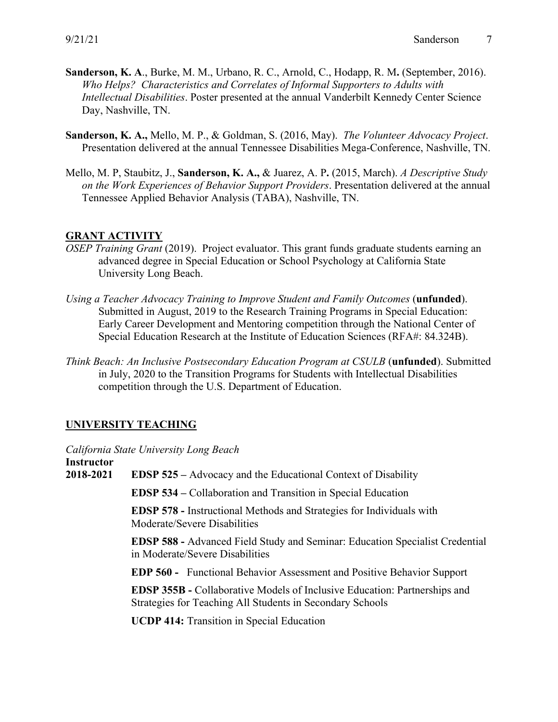- **Sanderson, K. A**., Burke, M. M., Urbano, R. C., Arnold, C., Hodapp, R. M**.** (September, 2016). *Who Helps? Characteristics and Correlates of Informal Supporters to Adults with Intellectual Disabilities*. Poster presented at the annual Vanderbilt Kennedy Center Science Day, Nashville, TN.
- **Sanderson, K. A.,** Mello, M. P., & Goldman, S. (2016, May). *The Volunteer Advocacy Project*. Presentation delivered at the annual Tennessee Disabilities Mega-Conference, Nashville, TN.
- Mello, M. P, Staubitz, J., **Sanderson, K. A.,** & Juarez, A. P**.** (2015, March). *A Descriptive Study on the Work Experiences of Behavior Support Providers*. Presentation delivered at the annual Tennessee Applied Behavior Analysis (TABA), Nashville, TN.

## **GRANT ACTIVITY**

- *OSEP Training Grant* (2019). Project evaluator. This grant funds graduate students earning an advanced degree in Special Education or School Psychology at California State University Long Beach.
- *Using a Teacher Advocacy Training to Improve Student and Family Outcomes* (**unfunded**). Submitted in August, 2019 to the Research Training Programs in Special Education: Early Career Development and Mentoring competition through the National Center of Special Education Research at the Institute of Education Sciences (RFA#: 84.324B).
- *Think Beach: An Inclusive Postsecondary Education Program at CSULB* (**unfunded**). Submitted in July, 2020 to the Transition Programs for Students with Intellectual Disabilities competition through the U.S. Department of Education.

## **UNIVERSITY TEACHING**

*California State University Long Beach*

**Instructor**

**2018-2021 EDSP 525 –** Advocacy and the Educational Context of Disability

**EDSP 534 – Collaboration and Transition in Special Education** 

**EDSP 578 -** Instructional Methods and Strategies for Individuals with Moderate/Severe Disabilities

**EDSP 588 -** Advanced Field Study and Seminar: Education Specialist Credential in Moderate/Severe Disabilities

**EDP 560 -** Functional Behavior Assessment and Positive Behavior Support

**EDSP 355B -** Collaborative Models of Inclusive Education: Partnerships and Strategies for Teaching All Students in Secondary Schools

**UCDP 414:** Transition in Special Education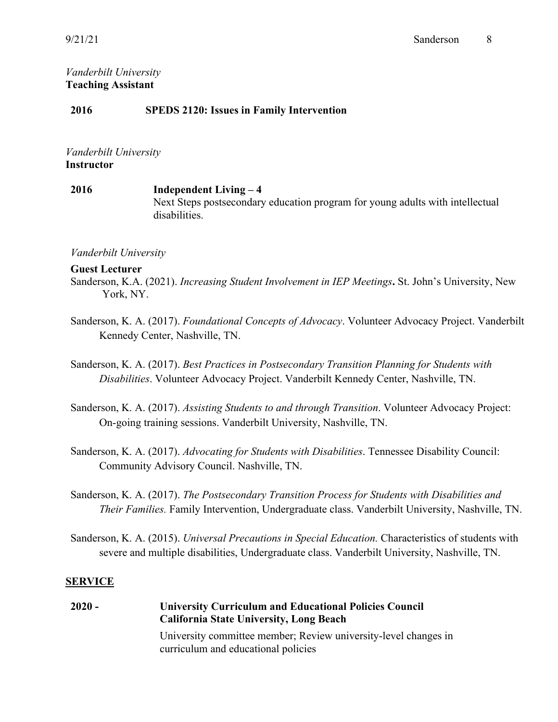## *Vanderbilt University* **Teaching Assistant**

## **2016 SPEDS 2120: Issues in Family Intervention**

#### *Vanderbilt University* **Instructor**

**2016 Independent Living – 4**  Next Steps postsecondary education program for young adults with intellectual disabilities.

#### *Vanderbilt University*

#### **Guest Lecturer**

- Sanderson, K.A. (2021). *Increasing Student Involvement in IEP Meetings***.** St. John's University, New York, NY.
- Sanderson, K. A. (2017). *Foundational Concepts of Advocacy*. Volunteer Advocacy Project. Vanderbilt Kennedy Center, Nashville, TN.
- Sanderson, K. A. (2017). *Best Practices in Postsecondary Transition Planning for Students with Disabilities*. Volunteer Advocacy Project. Vanderbilt Kennedy Center, Nashville, TN.
- Sanderson, K. A. (2017). *Assisting Students to and through Transition*. Volunteer Advocacy Project: On-going training sessions. Vanderbilt University, Nashville, TN.
- Sanderson, K. A. (2017). *Advocating for Students with Disabilities*. Tennessee Disability Council: Community Advisory Council. Nashville, TN.
- Sanderson, K. A. (2017). *The Postsecondary Transition Process for Students with Disabilities and Their Families.* Family Intervention, Undergraduate class. Vanderbilt University, Nashville, TN.
- Sanderson, K. A. (2015). *Universal Precautions in Special Education.* Characteristics of students with severe and multiple disabilities, Undergraduate class. Vanderbilt University, Nashville, TN.

## **SERVICE**

**2020 - University Curriculum and Educational Policies Council California State University, Long Beach**

> University committee member; Review university-level changes in curriculum and educational policies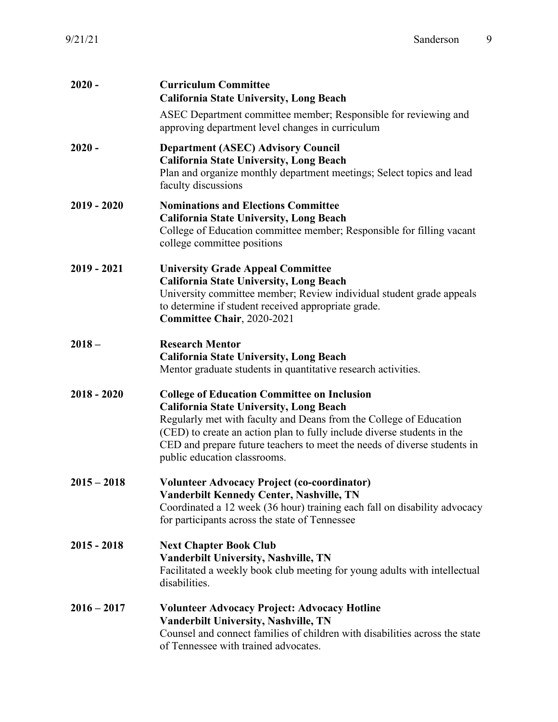| $2020 -$      | <b>Curriculum Committee</b><br><b>California State University, Long Beach</b>                                                                                                                                                                                                                                                                                     |
|---------------|-------------------------------------------------------------------------------------------------------------------------------------------------------------------------------------------------------------------------------------------------------------------------------------------------------------------------------------------------------------------|
|               | ASEC Department committee member; Responsible for reviewing and<br>approving department level changes in curriculum                                                                                                                                                                                                                                               |
| $2020 -$      | <b>Department (ASEC) Advisory Council</b><br><b>California State University, Long Beach</b><br>Plan and organize monthly department meetings; Select topics and lead<br>faculty discussions                                                                                                                                                                       |
| $2019 - 2020$ | <b>Nominations and Elections Committee</b><br><b>California State University, Long Beach</b><br>College of Education committee member; Responsible for filling vacant<br>college committee positions                                                                                                                                                              |
| $2019 - 2021$ | <b>University Grade Appeal Committee</b><br><b>California State University, Long Beach</b><br>University committee member; Review individual student grade appeals<br>to determine if student received appropriate grade.<br>Committee Chair, 2020-2021                                                                                                           |
| $2018 -$      | <b>Research Mentor</b><br><b>California State University, Long Beach</b><br>Mentor graduate students in quantitative research activities.                                                                                                                                                                                                                         |
| $2018 - 2020$ | <b>College of Education Committee on Inclusion</b><br><b>California State University, Long Beach</b><br>Regularly met with faculty and Deans from the College of Education<br>(CED) to create an action plan to fully include diverse students in the<br>CED and prepare future teachers to meet the needs of diverse students in<br>public education classrooms. |
| $2015 - 2018$ | <b>Volunteer Advocacy Project (co-coordinator)</b><br>Vanderbilt Kennedy Center, Nashville, TN<br>Coordinated a 12 week (36 hour) training each fall on disability advocacy<br>for participants across the state of Tennessee                                                                                                                                     |
| $2015 - 2018$ | <b>Next Chapter Book Club</b><br><b>Vanderbilt University, Nashville, TN</b><br>Facilitated a weekly book club meeting for young adults with intellectual<br>disabilities.                                                                                                                                                                                        |
| $2016 - 2017$ | <b>Volunteer Advocacy Project: Advocacy Hotline</b><br>Vanderbilt University, Nashville, TN<br>Counsel and connect families of children with disabilities across the state<br>of Tennessee with trained advocates.                                                                                                                                                |